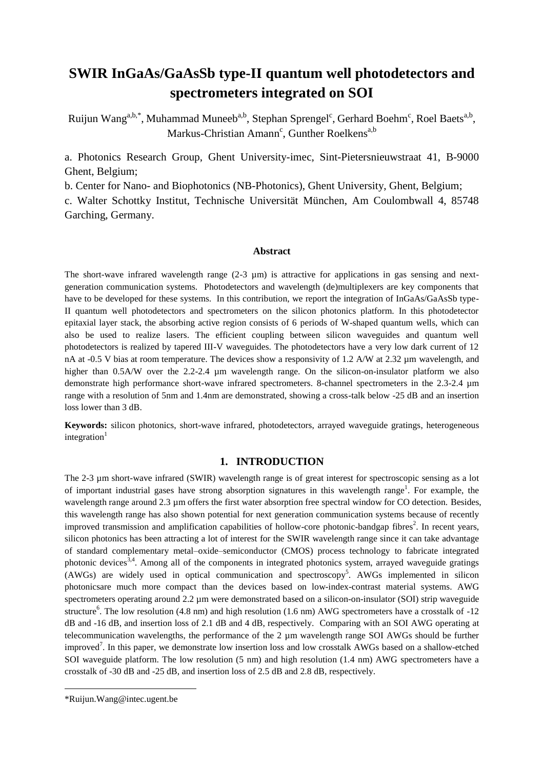# **SWIR InGaAs/GaAsSb type-II quantum well photodetectors and spectrometers integrated on SOI**

Ruijun Wang<sup>a,b,\*</sup>, Muhammad Muneeb<sup>a,b</sup>, Stephan Sprengel<sup>c</sup>, Gerhard Boehm<sup>c</sup>, Roel Baets<sup>a,b</sup>, Markus-Christian Amann<sup>c</sup>, Gunther Roelkens<sup>a,b</sup>

a. Photonics Research Group, Ghent University-imec, Sint-Pietersnieuwstraat 41, B-9000 Ghent, Belgium;

b. Center for Nano- and Biophotonics (NB-Photonics), Ghent University, Ghent, Belgium;

c. Walter Schottky Institut, Technische Universität München, Am Coulombwall 4, 85748 Garching, Germany.

#### **Abstract**

The short-wave infrared wavelength range  $(2-3 \mu m)$  is attractive for applications in gas sensing and nextgeneration communication systems. Photodetectors and wavelength (de)multiplexers are key components that have to be developed for these systems. In this contribution, we report the integration of InGaAs/GaAsSb type-II quantum well photodetectors and spectrometers on the silicon photonics platform. In this photodetector epitaxial layer stack, the absorbing active region consists of 6 periods of W-shaped quantum wells, which can also be used to realize lasers. The efficient coupling between silicon waveguides and quantum well photodetectors is realized by tapered III-V waveguides. The photodetectors have a very low dark current of 12 nA at -0.5 V bias at room temperature. The devices show a responsivity of 1.2 A/W at 2.32  $\mu$ m wavelength, and higher than 0.5A/W over the 2.2-2.4 µm wavelength range. On the silicon-on-insulator platform we also demonstrate high performance short-wave infrared spectrometers. 8-channel spectrometers in the 2.3-2.4 µm range with a resolution of 5nm and 1.4nm are demonstrated, showing a cross-talk below -25 dB and an insertion loss lower than 3 dB.

**Keywords:** silicon photonics, short-wave infrared, photodetectors, arrayed waveguide gratings, heterogeneous integration $1$ 

### **1. INTRODUCTION**

The 2-3 µm short-wave infrared (SWIR) wavelength range is of great interest for spectroscopic sensing as a lot of important industrial gases have strong absorption signatures in this wavelength range<sup>1</sup>. For example, the wavelength range around 2.3 µm offers the first water absorption free spectral window for CO detection. Besides, this wavelength range has also shown potential for next generation communication systems because of recently improved transmission and amplification capabilities of hollow-core photonic-bandgap fibres<sup>2</sup>. In recent years, silicon photonics has been attracting a lot of interest for the SWIR wavelength range since it can take advantage of standard complementary metal–oxide–semiconductor (CMOS) process technology to fabricate integrated photonic devices<sup>3,4</sup>. Among all of the components in integrated photonics system, arrayed waveguide gratings (AWGs) are widely used in optical communication and spectroscopy<sup>5</sup>. AWGs implemented in silicon photonicsare much more compact than the devices based on low-index-contrast material systems. AWG spectrometers operating around 2.2  $\mu$ m were demonstrated based on a silicon-on-insulator (SOI) strip waveguide structure<sup>6</sup>. The low resolution (4.8 nm) and high resolution (1.6 nm) AWG spectrometers have a crosstalk of  $-12$ dB and -16 dB, and insertion loss of 2.1 dB and 4 dB, respectively. Comparing with an SOI AWG operating at telecommunication wavelengths, the performance of the 2 µm wavelength range SOI AWGs should be further improved<sup>7</sup>. In this paper, we demonstrate low insertion loss and low crosstalk AWGs based on a shallow-etched SOI waveguide platform. The low resolution (5 nm) and high resolution (1.4 nm) AWG spectrometers have a crosstalk of -30 dB and -25 dB, and insertion loss of 2.5 dB and 2.8 dB, respectively.

**.** 

<sup>\*</sup>Ruijun.Wang@intec.ugent.be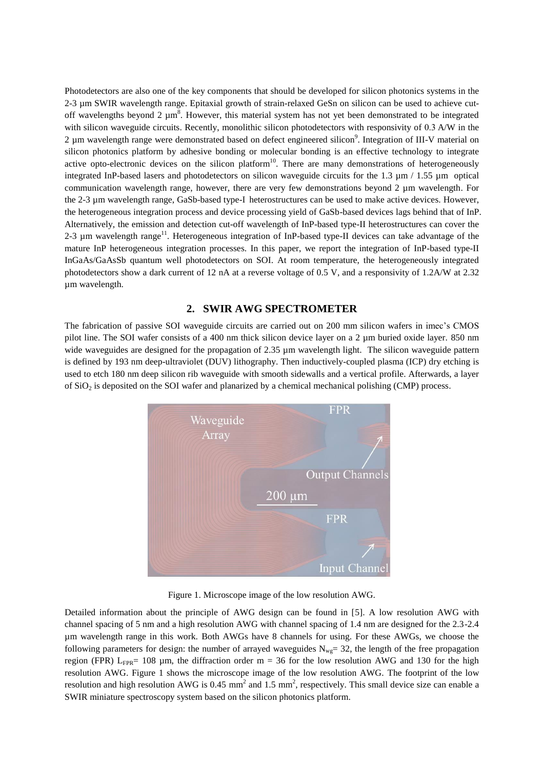Photodetectors are also one of the key components that should be developed for silicon photonics systems in the 2-3 µm SWIR wavelength range. Epitaxial growth of strain-relaxed GeSn on silicon can be used to achieve cutoff wavelengths beyond  $2 \mu m^8$ . However, this material system has not yet been demonstrated to be integrated with silicon waveguide circuits. Recently, monolithic silicon photodetectors with responsivity of 0.3 A/W in the 2  $\mu$ m wavelength range were demonstrated based on defect engineered silicon<sup>9</sup>. Integration of III-V material on silicon photonics platform by adhesive bonding or molecular bonding is an effective technology to integrate active opto-electronic devices on the silicon platform<sup>10</sup>. There are many demonstrations of heterogeneously integrated InP-based lasers and photodetectors on silicon waveguide circuits for the 1.3 µm / 1.55 µm optical communication wavelength range, however, there are very few demonstrations beyond 2  $\mu$ m wavelength. For the 2-3 µm wavelength range, GaSb-based type-I heterostructures can be used to make active devices. However, the heterogeneous integration process and device processing yield of GaSb-based devices lags behind that of InP. Alternatively, the emission and detection cut-off wavelength of InP-based type-II heterostructures can cover the 2-3  $\mu$ m wavelength range<sup>11</sup>. Heterogeneous integration of InP-based type-II devices can take advantage of the mature InP heterogeneous integration processes. In this paper, we report the integration of InP-based type-II InGaAs/GaAsSb quantum well photodetectors on SOI. At room temperature, the heterogeneously integrated photodetectors show a dark current of 12 nA at a reverse voltage of 0.5 V, and a responsivity of 1.2A/W at 2.32 µm wavelength.

# **2. SWIR AWG SPECTROMETER**

The fabrication of passive SOI waveguide circuits are carried out on 200 mm silicon wafers in imec's CMOS pilot line. The SOI wafer consists of a 400 nm thick silicon device layer on a 2 µm buried oxide layer. 850 nm wide waveguides are designed for the propagation of 2.35 µm wavelength light. The silicon waveguide pattern is defined by 193 nm deep-ultraviolet (DUV) lithography. Then inductively-coupled plasma (ICP) dry etching is used to etch 180 nm deep silicon rib waveguide with smooth sidewalls and a vertical profile. Afterwards, a layer of SiO<sup>2</sup> is deposited on the SOI wafer and planarized by a chemical mechanical polishing (CMP) process.



Figure 1. Microscope image of the low resolution AWG.

Detailed information about the principle of AWG design can be found in [5]. A low resolution AWG with channel spacing of 5 nm and a high resolution AWG with channel spacing of 1.4 nm are designed for the 2.3-2.4 µm wavelength range in this work. Both AWGs have 8 channels for using. For these AWGs, we choose the following parameters for design: the number of arrayed waveguides  $N_{wg}$  = 32, the length of the free propagation region (FPR)  $L_{FPR}$ = 108 µm, the diffraction order m = 36 for the low resolution AWG and 130 for the high resolution AWG. Figure 1 shows the microscope image of the low resolution AWG. The footprint of the low resolution and high resolution AWG is 0.45 mm<sup>2</sup> and 1.5 mm<sup>2</sup>, respectively. This small device size can enable a SWIR miniature spectroscopy system based on the silicon photonics platform.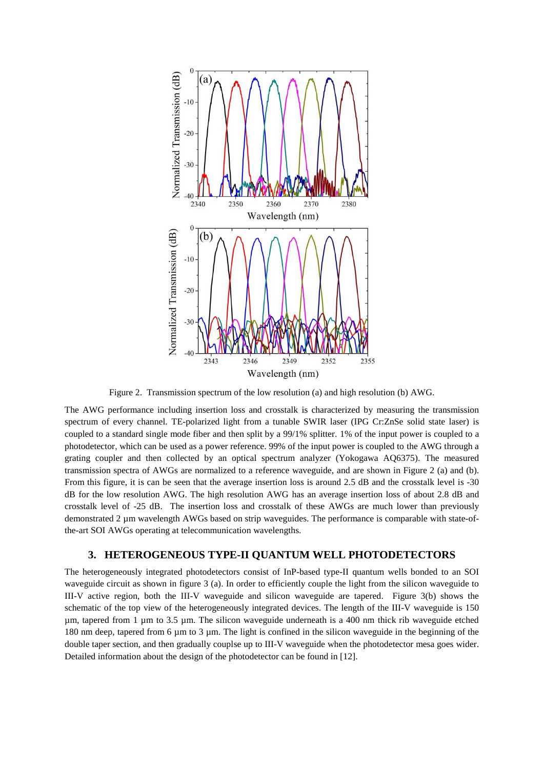

Figure 2. Transmission spectrum of the low resolution (a) and high resolution (b) AWG.

The AWG performance including insertion loss and crosstalk is characterized by measuring the transmission spectrum of every channel. TE-polarized light from a tunable SWIR laser (IPG Cr:ZnSe solid state laser) is coupled to a standard single mode fiber and then split by a 99/1% splitter. 1% of the input power is coupled to a photodetector, which can be used as a power reference. 99% of the input power is coupled to the AWG through a grating coupler and then collected by an optical spectrum analyzer (Yokogawa AQ6375). The measured transmission spectra of AWGs are normalized to a reference waveguide, and are shown in Figure 2 (a) and (b). From this figure, it is can be seen that the average insertion loss is around 2.5 dB and the crosstalk level is -30 dB for the low resolution AWG. The high resolution AWG has an average insertion loss of about 2.8 dB and crosstalk level of -25 dB. The insertion loss and crosstalk of these AWGs are much lower than previously demonstrated 2 µm wavelength AWGs based on strip waveguides. The performance is comparable with state-ofthe-art SOI AWGs operating at telecommunication wavelengths.

## **3. HETEROGENEOUS TYPE-II QUANTUM WELL PHOTODETECTORS**

The heterogeneously integrated photodetectors consist of InP-based type-II quantum wells bonded to an SOI waveguide circuit as shown in figure 3 (a). In order to efficiently couple the light from the silicon waveguide to III-V active region, both the III-V waveguide and silicon waveguide are tapered. Figure 3(b) shows the schematic of the top view of the heterogeneously integrated devices. The length of the III-V waveguide is 150 µm, tapered from 1 µm to 3.5 µm. The silicon waveguide underneath is a 400 nm thick rib waveguide etched 180 nm deep, tapered from 6 µm to 3 µm. The light is confined in the silicon waveguide in the beginning of the double taper section, and then gradually couplse up to III-V waveguide when the photodetector mesa goes wider. Detailed information about the design of the photodetector can be found in [12].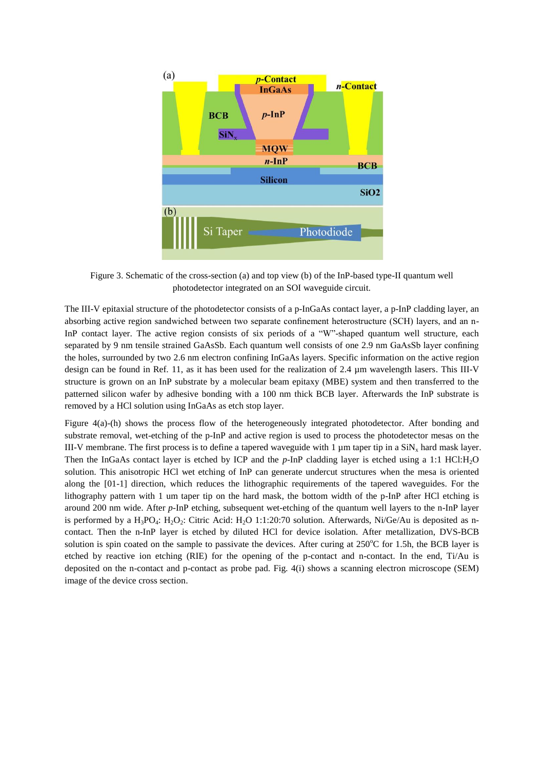

Figure 3. Schematic of the cross-section (a) and top view (b) of the InP-based type-II quantum well photodetector integrated on an SOI waveguide circuit.

The III-V epitaxial structure of the photodetector consists of a p-InGaAs contact layer, a p-InP cladding layer, an absorbing active region sandwiched between two separate confinement heterostructure (SCH) layers, and an n-InP contact layer. The active region consists of six periods of a "W"-shaped quantum well structure, each separated by 9 nm tensile strained GaAsSb. Each quantum well consists of one 2.9 nm GaAsSb layer confining the holes, surrounded by two 2.6 nm electron confining InGaAs layers. Specific information on the active region design can be found in Ref. 11, as it has been used for the realization of 2.4 µm wavelength lasers. This III-V structure is grown on an InP substrate by a molecular beam epitaxy (MBE) system and then transferred to the patterned silicon wafer by adhesive bonding with a 100 nm thick BCB layer. Afterwards the InP substrate is removed by a HCl solution using InGaAs as etch stop layer.

Figure 4(a)-(h) shows the process flow of the heterogeneously integrated photodetector. After bonding and substrate removal, wet-etching of the p-InP and active region is used to process the photodetector mesas on the III-V membrane. The first process is to define a tapered waveguide with 1  $\mu$ m taper tip in a SiN<sub>x</sub> hard mask layer. Then the InGaAs contact layer is etched by ICP and the *p*-InP cladding layer is etched using a 1:1 HCl:H<sub>2</sub>O solution. This anisotropic HCl wet etching of InP can generate undercut structures when the mesa is oriented along the [01-1] direction, which reduces the lithographic requirements of the tapered waveguides. For the lithography pattern with 1 um taper tip on the hard mask, the bottom width of the p-InP after HCl etching is around 200 nm wide. After *p*-InP etching, subsequent wet-etching of the quantum well layers to the n-InP layer is performed by a  $H_3PO_4$ :  $H_2O_2$ : Citric Acid:  $H_2O$  1:1:20:70 solution. Afterwards, Ni/Ge/Au is deposited as ncontact. Then the n-InP layer is etched by diluted HCl for device isolation. After metallization, DVS-BCB solution is spin coated on the sample to passivate the devices. After curing at  $250^{\circ}$ C for 1.5h, the BCB layer is etched by reactive ion etching (RIE) for the opening of the p-contact and n-contact. In the end, Ti/Au is deposited on the n-contact and p-contact as probe pad. Fig. 4(i) shows a scanning electron microscope (SEM) image of the device cross section.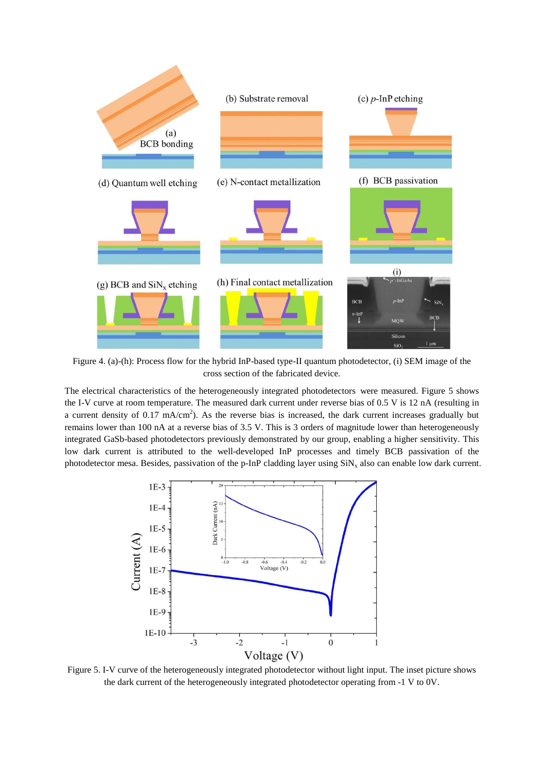

Figure 4. (a)-(h): Process flow for the hybrid InP-based type-II quantum photodetector, (i) SEM image of the cross section of the fabricated device.

The electrical characteristics of the heterogeneously integrated photodetectors were measured. Figure 5 shows the I-V curve at room temperature. The measured dark current under reverse bias of 0.5 V is 12 nA (resulting in a current density of 0.17 mA/cm<sup>2</sup>). As the reverse bias is increased, the dark current increases gradually but remains lower than 100 nA at a reverse bias of 3.5 V. This is 3 orders of magnitude lower than heterogeneously integrated GaSb-based photodetectors previously demonstrated by our group, enabling a higher sensitivity. This low dark current is attributed to the well-developed InP processes and timely BCB passivation of the photodetector mesa. Besides, passivation of the p-InP cladding layer using  $SiN_x$  also can enable low dark current.



Figure 5. I-V curve of the heterogeneously integrated photodetector without light input. The inset picture shows the dark current of the heterogeneously integrated photodetector operating from -1 V to 0V.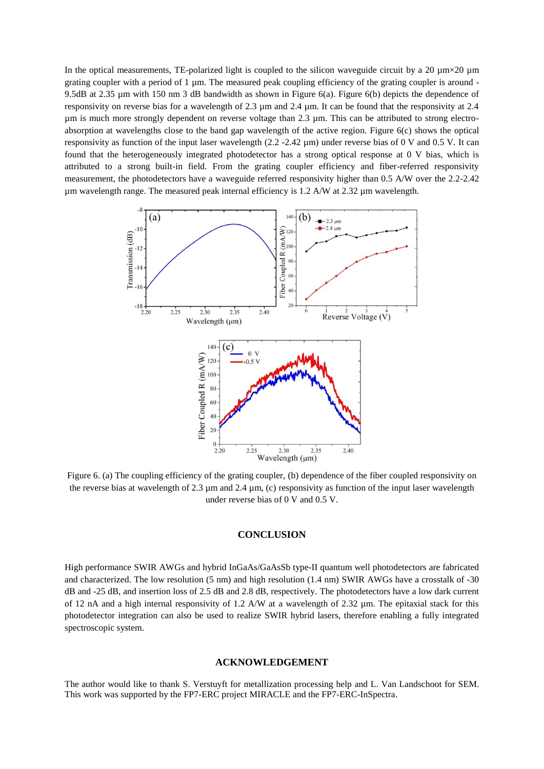In the optical measurements, TE-polarized light is coupled to the silicon waveguide circuit by a 20  $\mu$ m  $\times$ 20  $\mu$ m grating coupler with a period of 1 µm. The measured peak coupling efficiency of the grating coupler is around - 9.5dB at 2.35 µm with 150 nm 3 dB bandwidth as shown in Figure 6(a). Figure 6(b) depicts the dependence of responsivity on reverse bias for a wavelength of 2.3 µm and 2.4 µm. It can be found that the responsivity at 2.4 µm is much more strongly dependent on reverse voltage than 2.3 µm. This can be attributed to strong electroabsorption at wavelengths close to the band gap wavelength of the active region. Figure 6(c) shows the optical responsivity as function of the input laser wavelength (2.2 -2.42 µm) under reverse bias of 0 V and 0.5 V. It can found that the heterogeneously integrated photodetector has a strong optical response at 0 V bias, which is attributed to a strong built-in field. From the grating coupler efficiency and fiber-referred responsivity measurement, the photodetectors have a waveguide referred responsivity higher than 0.5 A/W over the 2.2-2.42 µm wavelength range. The measured peak internal efficiency is 1.2 A/W at 2.32 µm wavelength.



Figure 6. (a) The coupling efficiency of the grating coupler, (b) dependence of the fiber coupled responsivity on the reverse bias at wavelength of 2.3 µm and 2.4 µm, (c) responsivity as function of the input laser wavelength under reverse bias of 0 V and 0.5 V.

# **CONCLUSION**

High performance SWIR AWGs and hybrid InGaAs/GaAsSb type-II quantum well photodetectors are fabricated and characterized. The low resolution (5 nm) and high resolution (1.4 nm) SWIR AWGs have a crosstalk of -30 dB and -25 dB, and insertion loss of 2.5 dB and 2.8 dB, respectively. The photodetectors have a low dark current of 12 nA and a high internal responsivity of 1.2 A/W at a wavelength of 2.32 µm. The epitaxial stack for this photodetector integration can also be used to realize SWIR hybrid lasers, therefore enabling a fully integrated spectroscopic system.

#### **ACKNOWLEDGEMENT**

The author would like to thank S. Verstuyft for metallization processing help and L. Van Landschoot for SEM. This work was supported by the FP7-ERC project MIRACLE and the FP7-ERC-InSpectra.